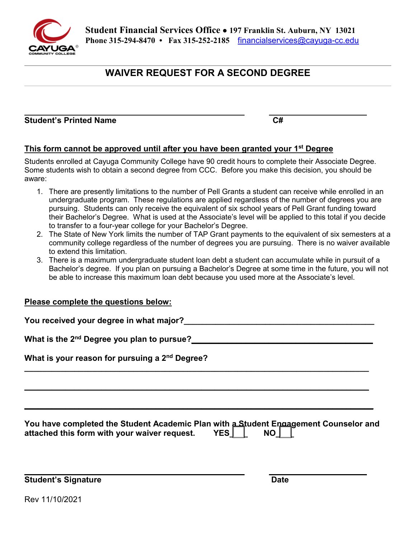

# **WAIVER REQUEST FOR A SECOND DEGREE**

#### **Student's Printed Name C#**  $C#$  $C#$

# **This form cannot be approved until after you have been granted your 1st Degree**

Students enrolled at Cayuga Community College have 90 credit hours to complete their Associate Degree. Some students wish to obtain a second degree from CCC. Before you make this decision, you should be aware:

- undergraduate program. These regulations are applied regardless of the number of degrees you are their Bachelor's Degree. What is used at the Associate's level will be applied to this total if you decide to transfer to a four-year college for your Bachelor's Degree. 1. There are presently limitations to the number of Pell Grants a student can receive while enrolled in an pursuing. Students can only receive the equivalent of six school years of Pell Grant funding toward
- 2. The State of New York limits the number of TAP Grant payments to the equivalent of six semesters at a community college regardless of the number of degrees you are pursuing. There is no waiver available to extend this limitation.
- Bachelor's degree. If you plan on pursuing a Bachelor's Degree at some time in the future, you will not 3. There is a maximum undergraduate student loan debt a student can accumulate while in pursuit of a be able to increase this maximum loan debt because you used more at the Associate's level.

### **Please complete the questions below:**

 **What is your reason for pursuing a 2nd Degree? You have completed the Student Academic Plan with a Student Engagement Counselor and**  attached this form with your waiver request. YES<u>\_I\_\_I</u>\_ NO\_<u>I\_\_I</u>\_ **\_\_\_\_\_\_\_\_\_\_\_\_\_\_\_\_\_\_\_\_\_\_\_\_\_\_\_\_\_\_\_\_\_\_\_\_\_\_\_\_\_\_\_\_\_\_\_\_\_\_\_\_\_\_\_\_\_\_\_\_\_\_\_\_\_\_\_\_\_\_\_\_\_\_\_\_ \_\_\_\_\_\_\_\_\_\_\_\_\_\_\_\_\_\_\_\_\_\_\_\_\_\_\_\_\_\_\_\_\_\_\_\_\_\_\_\_\_\_\_\_\_\_\_\_\_\_\_\_\_\_\_\_\_\_\_\_\_\_\_\_\_\_\_\_\_\_\_\_\_\_\_\_ \_\_\_\_\_\_\_\_\_\_\_\_\_\_\_\_\_\_\_\_\_\_\_\_\_\_\_\_\_\_\_\_\_\_\_\_\_\_\_\_\_\_\_\_\_\_\_\_\_\_\_\_\_\_\_\_\_\_\_\_\_\_\_\_\_\_\_\_\_\_\_\_\_\_\_\_\_ You received your degree in what major?\_\_\_\_\_\_\_\_\_\_\_\_\_\_\_\_\_\_\_\_\_\_\_\_\_\_\_\_\_\_\_\_\_\_\_\_\_\_\_\_\_\_ What is the 2nd Degree you plan to pursue?\_\_\_\_\_\_\_\_\_\_\_\_\_\_\_\_\_\_\_\_\_\_\_\_\_\_\_\_\_\_\_\_\_\_\_\_\_\_\_\_** 

**Student's Signature All and Student's Signature**  $\blacksquare$ 

Rev 11/10/2021